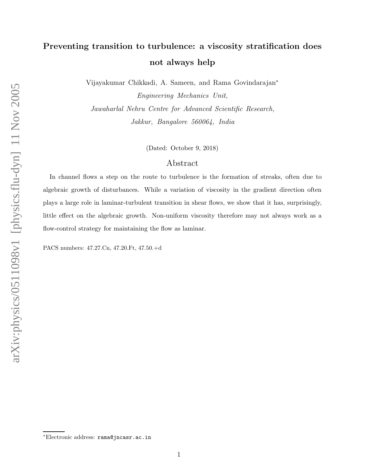## Preventing transition to turbulence: a viscosity stratification does not always help

Vijayakumar Chikkadi, A. Sameen, and Rama Govindarajan<sup>∗</sup>

Engineering Mechanics Unit, Jawaharlal Nehru Centre for Advanced Scientific Research, Jakkur, Bangalore 560064, India

(Dated: October 9, 2018)

## Abstract

In channel flows a step on the route to turbulence is the formation of streaks, often due to algebraic growth of disturbances. While a variation of viscosity in the gradient direction often plays a large role in laminar-turbulent transition in shear flows, we show that it has, surprisingly, little effect on the algebraic growth. Non-uniform viscosity therefore may not always work as a flow-control strategy for maintaining the flow as laminar.

PACS numbers: 47.27.Cn, 47.20.Ft, 47.50.+d

<sup>∗</sup>Electronic address: rama@jncasr.ac.in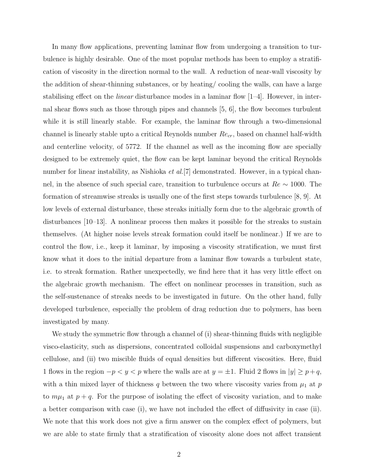In many flow applications, preventing laminar flow from undergoing a transition to turbulence is highly desirable. One of the most popular methods has been to employ a stratification of viscosity in the direction normal to the wall. A reduction of near-wall viscosity by the addition of shear-thinning substances, or by heating/ cooling the walls, can have a large stabilising effect on the *linear* disturbance modes in a laminar flow  $[1-4]$ . However, in internal shear flows such as those through pipes and channels [5, 6], the flow becomes turbulent while it is still linearly stable. For example, the laminar flow through a two-dimensional channel is linearly stable upto a critical Reynolds number  $Re_{cr}$ , based on channel half-width and centerline velocity, of 5772. If the channel as well as the incoming flow are specially designed to be extremely quiet, the flow can be kept laminar beyond the critical Reynolds number for linear instability, as Nishioka *et al.*[7] demonstrated. However, in a typical channel, in the absence of such special care, transition to turbulence occurs at Re ∼ 1000. The formation of streamwise streaks is usually one of the first steps towards turbulence [8, 9]. At low levels of external disturbance, these streaks initially form due to the algebraic growth of disturbances [10–13]. A nonlinear process then makes it possible for the streaks to sustain themselves. (At higher noise levels streak formation could itself be nonlinear.) If we are to control the flow, i.e., keep it laminar, by imposing a viscosity stratification, we must first know what it does to the initial departure from a laminar flow towards a turbulent state, i.e. to streak formation. Rather unexpectedly, we find here that it has very little effect on the algebraic growth mechanism. The effect on nonlinear processes in transition, such as the self-sustenance of streaks needs to be investigated in future. On the other hand, fully developed turbulence, especially the problem of drag reduction due to polymers, has been investigated by many.

We study the symmetric flow through a channel of (i) shear-thinning fluids with negligible visco-elasticity, such as dispersions, concentrated colloidal suspensions and carboxymethyl cellulose, and (ii) two miscible fluids of equal densities but different viscosities. Here, fluid 1 flows in the region  $-p < y < p$  where the walls are at  $y = \pm 1$ . Fluid 2 flows in  $|y| \ge p+q$ , with a thin mixed layer of thickness  $q$  between the two where viscosity varies from  $\mu_1$  at  $p$ to  $m\mu_1$  at  $p+q$ . For the purpose of isolating the effect of viscosity variation, and to make a better comparison with case (i), we have not included the effect of diffusivity in case (ii). We note that this work does not give a firm answer on the complex effect of polymers, but we are able to state firmly that a stratification of viscosity alone does not affect transient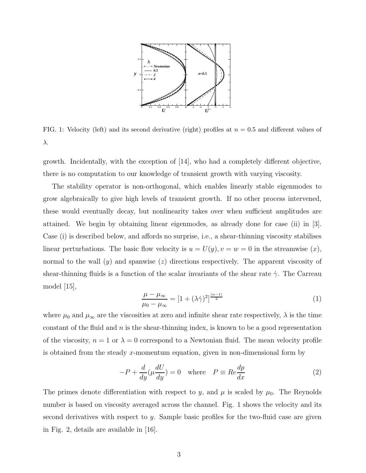

FIG. 1: Velocity (left) and its second derivative (right) profiles at  $n = 0.5$  and different values of λ.

growth. Incidentally, with the exception of [14], who had a completely different objective, there is no computation to our knowledge of transient growth with varying viscosity.

The stability operator is non-orthogonal, which enables linearly stable eigenmodes to grow algebraically to give high levels of transient growth. If no other process intervened, these would eventually decay, but nonlinearity takes over when sufficient amplitudes are attained. We begin by obtaining linear eigenmodes, as already done for case (ii) in [3]. Case (i) is described below, and affords no surprise, i.e., a shear-thinning viscosity stabilises linear perturbations. The basic flow velocity is  $u = U(y)$ ,  $v = w = 0$  in the streamwise  $(x)$ , normal to the wall  $(y)$  and spanwise  $(z)$  directions respectively. The apparent viscosity of shear-thinning fluids is a function of the scalar invariants of the shear rate  $\dot{\gamma}$ . The Carreau model [15],

$$
\frac{\mu - \mu_{\infty}}{\mu_0 - \mu_{\infty}} = \left[1 + (\lambda \dot{\gamma})^2\right]^{\frac{(n-1)}{2}}
$$
\n(1)

where  $\mu_0$  and  $\mu_\infty$  are the viscosities at zero and infinite shear rate respectively,  $\lambda$  is the time constant of the fluid and  $n$  is the shear-thinning index, is known to be a good representation of the viscosity,  $n = 1$  or  $\lambda = 0$  correspond to a Newtonian fluid. The mean velocity profile is obtained from the steady x-momentum equation, given in non-dimensional form by

$$
-P + \frac{d}{dy}(\mu \frac{dU}{dy}) = 0 \quad \text{where} \quad P \equiv Re \frac{dp}{dx} \tag{2}
$$

The primes denote differentiation with respect to y, and  $\mu$  is scaled by  $\mu_0$ . The Reynolds number is based on viscosity averaged across the channel. Fig. 1 shows the velocity and its second derivatives with respect to y. Sample basic profiles for the two-fluid case are given in Fig. 2, details are available in [16].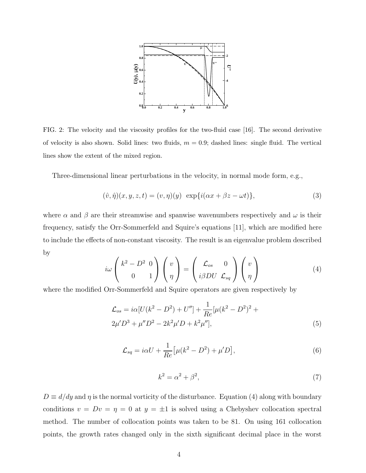

FIG. 2: The velocity and the viscosity profiles for the two-fluid case [16]. The second derivative of velocity is also shown. Solid lines: two fluids,  $m = 0.9$ ; dashed lines: single fluid. The vertical lines show the extent of the mixed region.

Three-dimensional linear perturbations in the velocity, in normal mode form, e.g.,

$$
(\hat{v}, \hat{\eta})(x, y, z, t) = (v, \eta)(y) \exp{i(\alpha x + \beta z - \omega t)},
$$
\n(3)

where  $\alpha$  and  $\beta$  are their streamwise and spanwise wavenumbers respectively and  $\omega$  is their frequency, satisfy the Orr-Sommerfeld and Squire's equations [11], which are modified here to include the effects of non-constant viscosity. The result is an eigenvalue problem described by

$$
i\omega \begin{pmatrix} k^2 - D^2 & 0 \\ 0 & 1 \end{pmatrix} \begin{pmatrix} v \\ \eta \end{pmatrix} = \begin{pmatrix} \mathcal{L}_{os} & 0 \\ i\beta DU & \mathcal{L}_{sq} \end{pmatrix} \begin{pmatrix} v \\ \eta \end{pmatrix}
$$
 (4)

where the modified Orr-Sommerfeld and Squire operators are given respectively by

$$
\mathcal{L}_{os} = i\alpha [U(k^2 - D^2) + U''] + \frac{1}{Re} [\mu(k^2 - D^2)^2 + 2\mu' D^3 + \mu'' D^2 - 2k^2 \mu' D + k^2 \mu''],
$$
\n(5)

$$
\mathcal{L}_{sq} = i\alpha U + \frac{1}{Re} \left[ \mu (k^2 - D^2) + \mu' D \right],\tag{6}
$$

$$
k^2 = \alpha^2 + \beta^2,\tag{7}
$$

 $D \equiv d/dy$  and  $\eta$  is the normal vorticity of the disturbance. Equation (4) along with boundary conditions  $v = Dv = \eta = 0$  at  $y = \pm 1$  is solved using a Chebyshev collocation spectral method. The number of collocation points was taken to be 81. On using 161 collocation points, the growth rates changed only in the sixth significant decimal place in the worst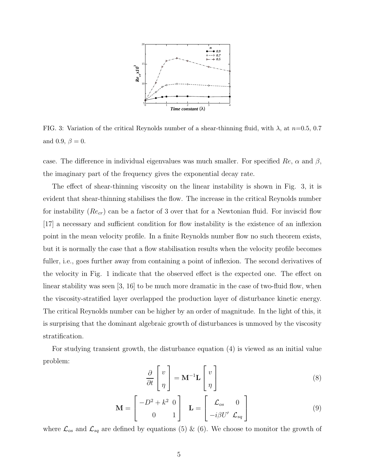

FIG. 3: Variation of the critical Reynolds number of a shear-thinning fluid, with  $\lambda$ , at  $n=0.5$ , 0.7 and 0.9,  $\beta = 0$ .

case. The difference in individual eigenvalues was much smaller. For specified Re,  $\alpha$  and  $\beta$ , the imaginary part of the frequency gives the exponential decay rate.

The effect of shear-thinning viscosity on the linear instability is shown in Fig. 3, it is evident that shear-thinning stabilises the flow. The increase in the critical Reynolds number for instability  $(Re_{cr})$  can be a factor of 3 over that for a Newtonian fluid. For inviscid flow [17] a necessary and sufficient condition for flow instability is the existence of an inflexion point in the mean velocity profile. In a finite Reynolds number flow no such theorem exists, but it is normally the case that a flow stabilisation results when the velocity profile becomes fuller, i.e., goes further away from containing a point of inflexion. The second derivatives of the velocity in Fig. 1 indicate that the observed effect is the expected one. The effect on linear stability was seen [3, 16] to be much more dramatic in the case of two-fluid flow, when the viscosity-stratified layer overlapped the production layer of disturbance kinetic energy. The critical Reynolds number can be higher by an order of magnitude. In the light of this, it is surprising that the dominant algebraic growth of disturbances is unmoved by the viscosity stratification.

For studying transient growth, the disturbance equation (4) is viewed as an initial value problem:

$$
\frac{\partial}{\partial t} \begin{bmatrix} v \\ \eta \end{bmatrix} = \mathbf{M}^{-1} \mathbf{L} \begin{bmatrix} v \\ \eta \end{bmatrix}
$$
 (8)

$$
\mathbf{M} = \begin{bmatrix} -D^2 + k^2 & 0 \\ 0 & 1 \end{bmatrix} \quad \mathbf{L} = \begin{bmatrix} \mathcal{L}_{os} & 0 \\ -i\beta U' & \mathcal{L}_{sq} \end{bmatrix}
$$
(9)

where  $\mathcal{L}_{os}$  and  $\mathcal{L}_{sq}$  are defined by equations (5) & (6). We choose to monitor the growth of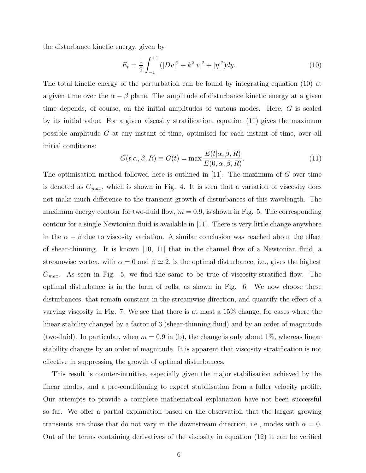the disturbance kinetic energy, given by

$$
E_t = \frac{1}{2} \int_{-1}^{+1} (|Dv|^2 + k^2 |v|^2 + |\eta|^2) dy.
$$
 (10)

The total kinetic energy of the perturbation can be found by integrating equation (10) at a given time over the  $\alpha - \beta$  plane. The amplitude of disturbance kinetic energy at a given time depends, of course, on the initial amplitudes of various modes. Here, G is scaled by its initial value. For a given viscosity stratification, equation (11) gives the maximum possible amplitude G at any instant of time, optimised for each instant of time, over all initial conditions:

$$
G(t|\alpha, \beta, R) \equiv G(t) = \max \frac{E(t|\alpha, \beta, R)}{E(0, \alpha, \beta, R)}.
$$
\n(11)

The optimisation method followed here is outlined in [11]. The maximum of G over time is denoted as  $G_{max}$ , which is shown in Fig. 4. It is seen that a variation of viscosity does not make much difference to the transient growth of disturbances of this wavelength. The maximum energy contour for two-fluid flow,  $m = 0.9$ , is shown in Fig. 5. The corresponding contour for a single Newtonian fluid is available in [11]. There is very little change anywhere in the  $\alpha - \beta$  due to viscosity variation. A similar conclusion was reached about the effect of shear-thinning. It is known [10, 11] that in the channel flow of a Newtonian fluid, a streamwise vortex, with  $\alpha = 0$  and  $\beta \simeq 2$ , is the optimal disturbance, i.e., gives the highest  $G_{max}$ . As seen in Fig. 5, we find the same to be true of viscosity-stratified flow. The optimal disturbance is in the form of rolls, as shown in Fig. 6. We now choose these disturbances, that remain constant in the streamwise direction, and quantify the effect of a varying viscosity in Fig. 7. We see that there is at most a 15% change, for cases where the linear stability changed by a factor of 3 (shear-thinning fluid) and by an order of magnitude (two-fluid). In particular, when  $m = 0.9$  in (b), the change is only about 1\%, whereas linear stability changes by an order of magnitude. It is apparent that viscosity stratification is not effective in suppressing the growth of optimal disturbances.

This result is counter-intuitive, especially given the major stabilisation achieved by the linear modes, and a pre-conditioning to expect stabilisation from a fuller velocity profile. Our attempts to provide a complete mathematical explanation have not been successful so far. We offer a partial explanation based on the observation that the largest growing transients are those that do not vary in the downstream direction, i.e., modes with  $\alpha = 0$ . Out of the terms containing derivatives of the viscosity in equation (12) it can be verified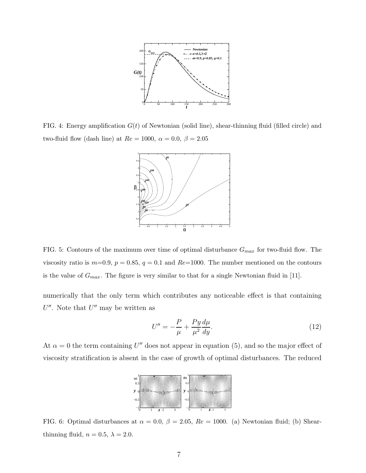

FIG. 4: Energy amplification  $G(t)$  of Newtonian (solid line), shear-thinning fluid (filled circle) and two-fluid flow (dash line) at  $Re = 1000$ ,  $\alpha = 0.0$ ,  $\beta = 2.05$ 



FIG. 5: Contours of the maximum over time of optimal disturbance  $G_{max}$  for two-fluid flow. The viscosity ratio is  $m=0.9$ ,  $p=0.85$ ,  $q=0.1$  and  $Re=1000$ . The number mentioned on the contours is the value of  $G_{max}$ . The figure is very similar to that for a single Newtonian fluid in [11].

numerically that the only term which contributes any noticeable effect is that containing  $U''$ . Note that  $U''$  may be written as

$$
U'' = -\frac{P}{\mu} + \frac{Py}{\mu^2} \frac{d\mu}{dy}.\tag{12}
$$

At  $\alpha = 0$  the term containing U'' does not appear in equation (5), and so the major effect of viscosity stratification is absent in the case of growth of optimal disturbances. The reduced



FIG. 6: Optimal disturbances at  $\alpha = 0.0$ ,  $\beta = 2.05$ ,  $Re = 1000$ . (a) Newtonian fluid; (b) Shearthinning fluid,  $n = 0.5$ ,  $\lambda = 2.0$ .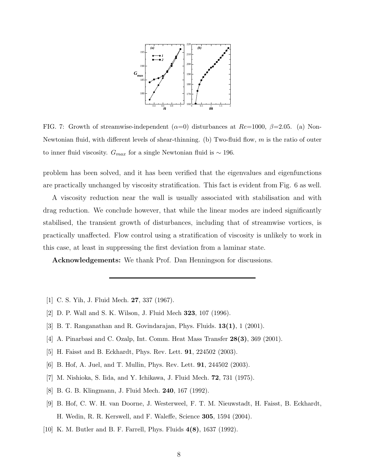

FIG. 7: Growth of streamwise-independent  $(\alpha=0)$  disturbances at  $Re=1000$ ,  $\beta=2.05$ . (a) Non-Newtonian fluid, with different levels of shear-thinning. (b) Two-fluid flow,  $m$  is the ratio of outer to inner fluid viscosity.  $G_{max}$  for a single Newtonian fluid is  $\sim 196$ .

problem has been solved, and it has been verified that the eigenvalues and eigenfunctions are practically unchanged by viscosity stratification. This fact is evident from Fig. 6 as well.

A viscosity reduction near the wall is usually associated with stabilisation and with drag reduction. We conclude however, that while the linear modes are indeed significantly stabilised, the transient growth of disturbances, including that of streamwise vortices, is practically unaffected. Flow control using a stratification of viscosity is unlikely to work in this case, at least in suppressing the first deviation from a laminar state.

Acknowledgements: We thank Prof. Dan Henningson for discussions.

- [1] C. S. Yih, J. Fluid Mech. 27, 337 (1967).
- [2] D. P. Wall and S. K. Wilson, J. Fluid Mech 323, 107 (1996).
- [3] B. T. Ranganathan and R. Govindarajan, Phys. Fluids. 13(1), 1 (2001).
- [4] A. Pinarbasi and C. Ozalp, Int. Comm. Heat Mass Transfer 28(3), 369 (2001).
- [5] H. Faisst and B. Eckhardt, Phys. Rev. Lett. 91, 224502 (2003).
- [6] B. Hof, A. Juel, and T. Mullin, Phys. Rev. Lett. 91, 244502 (2003).
- [7] M. Nishioka, S. Iida, and Y. Ichikawa, J. Fluid Mech. 72, 731 (1975).
- [8] B. G. B. Klingmann, J. Fluid Mech. 240, 167 (1992).
- [9] B. Hof, C. W. H. van Doorne, J. Westerweel, F. T. M. Nieuwstadt, H. Faisst, B. Eckhardt, H. Wedin, R. R. Kerswell, and F. Waleffe, Science 305, 1594 (2004).
- [10] K. M. Butler and B. F. Farrell, Phys. Fluids 4(8), 1637 (1992).